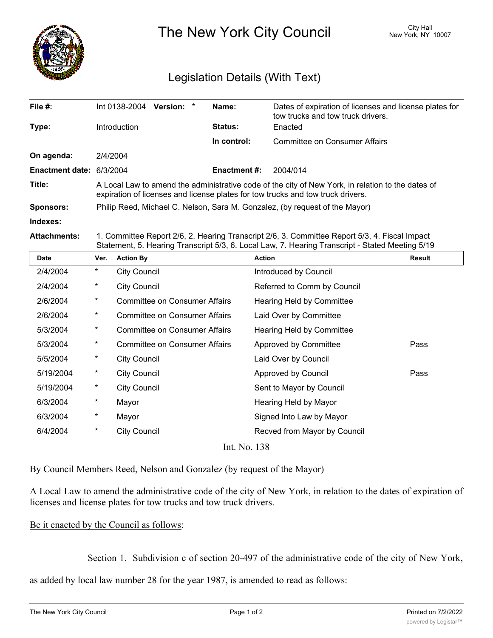

The New York City Council New York, NY 10007

## Legislation Details (With Text)

| File $#$ :               | Int 0138-2004<br><b>Version:</b><br>$\ast$                                                                                                                                           | Name:               | Dates of expiration of licenses and license plates for<br>tow trucks and tow truck drivers. |  |  |
|--------------------------|--------------------------------------------------------------------------------------------------------------------------------------------------------------------------------------|---------------------|---------------------------------------------------------------------------------------------|--|--|
| Type:                    | Introduction                                                                                                                                                                         | <b>Status:</b>      | Enacted                                                                                     |  |  |
|                          |                                                                                                                                                                                      | In control:         | Committee on Consumer Affairs                                                               |  |  |
| On agenda:               | 2/4/2004                                                                                                                                                                             |                     |                                                                                             |  |  |
| Enactment date: 6/3/2004 |                                                                                                                                                                                      | <b>Enactment #:</b> | 2004/014                                                                                    |  |  |
| Title:                   | A Local Law to amend the administrative code of the city of New York, in relation to the dates of<br>expiration of licenses and license plates for tow trucks and tow truck drivers. |                     |                                                                                             |  |  |
| <b>Sponsors:</b>         | Philip Reed, Michael C. Nelson, Sara M. Gonzalez, (by request of the Mayor)                                                                                                          |                     |                                                                                             |  |  |
| Indexes:                 |                                                                                                                                                                                      |                     |                                                                                             |  |  |

**Attachments:** 1. Committee Report 2/6, 2. Hearing Transcript 2/6, 3. Committee Report 5/3, 4. Fiscal Impact Statement, 5. Hearing Transcript 5/3, 6. Local Law, 7. Hearing Transcript - Stated Meeting 5/19

| Date         | Ver.     | <b>Action By</b>              | <b>Action</b>                | Result |  |  |
|--------------|----------|-------------------------------|------------------------------|--------|--|--|
| 2/4/2004     | $\star$  | <b>City Council</b>           | Introduced by Council        |        |  |  |
| 2/4/2004     | *        | <b>City Council</b>           | Referred to Comm by Council  |        |  |  |
| 2/6/2004     | $\star$  | Committee on Consumer Affairs | Hearing Held by Committee    |        |  |  |
| 2/6/2004     | $\star$  | Committee on Consumer Affairs | Laid Over by Committee       |        |  |  |
| 5/3/2004     | $\star$  | Committee on Consumer Affairs | Hearing Held by Committee    |        |  |  |
| 5/3/2004     | $^\star$ | Committee on Consumer Affairs | Approved by Committee        | Pass   |  |  |
| 5/5/2004     | $\star$  | <b>City Council</b>           | Laid Over by Council         |        |  |  |
| 5/19/2004    | $\star$  | <b>City Council</b>           | Approved by Council          | Pass   |  |  |
| 5/19/2004    | *        | <b>City Council</b>           | Sent to Mayor by Council     |        |  |  |
| 6/3/2004     | $\ast$   | Mayor                         | Hearing Held by Mayor        |        |  |  |
| 6/3/2004     | *        | Mayor                         | Signed Into Law by Mayor     |        |  |  |
| 6/4/2004     | $^\star$ | <b>City Council</b>           | Recved from Mayor by Council |        |  |  |
| Int. No. 138 |          |                               |                              |        |  |  |

By Council Members Reed, Nelson and Gonzalez (by request of the Mayor)

A Local Law to amend the administrative code of the city of New York, in relation to the dates of expiration of licenses and license plates for tow trucks and tow truck drivers.

Be it enacted by the Council as follows:

Section 1. Subdivision c of section 20-497 of the administrative code of the city of New York,

c. All licenses issued to a business pursuant to this subchapter to engage in towing and all

as added by local law number 28 for the year 1987, is amended to read as follows: